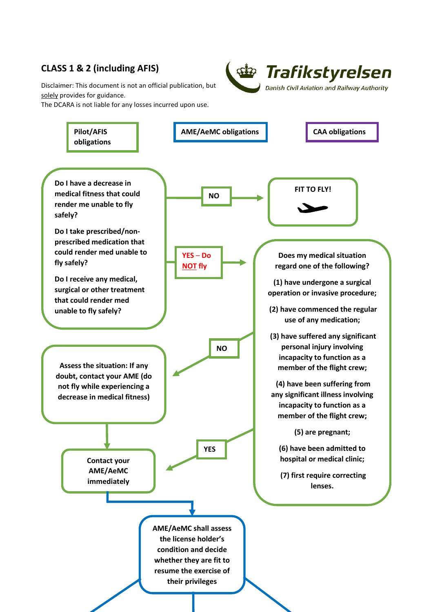## **CLASS 1 & 2 (including AFIS)**



Disclaimer: This document is not an official publication, but solely provides for guidance.

The DCARA is not liable for any losses incurred upon use.